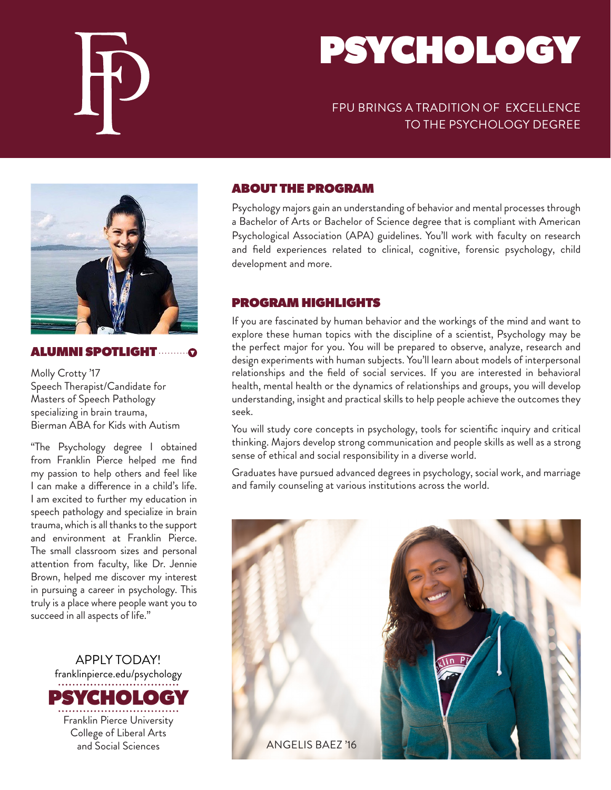# PSYCHOLOGY

### FPU BRINGS A TRADITION OF EXCELLENCE TO THE PSYCHOLOGY DEGREE



#### ALUMNI SPOTLIGHT

Molly Crotty '17 Speech Therapist/Candidate for Masters of Speech Pathology specializing in brain trauma, Bierman ABA for Kids with Autism

"The Psychology degree I obtained from Franklin Pierce helped me find my passion to help others and feel like I can make a difference in a child's life. I am excited to further my education in speech pathology and specialize in brain trauma, which is all thanks to the support and environment at Franklin Pierce. The small classroom sizes and personal attention from faculty, like Dr. Jennie Brown, helped me discover my interest in pursuing a career in psychology. This truly is a place where people want you to succeed in all aspects of life."



#### ABOUT THE PROGRAM

Psychology majors gain an understanding of behavior and mental processes through a Bachelor of Arts or Bachelor of Science degree that is compliant with American Psychological Association (APA) guidelines. You'll work with faculty on research and field experiences related to clinical, cognitive, forensic psychology, child development and more.

#### PROGRAM HIGHLIGHTS

If you are fascinated by human behavior and the workings of the mind and want to explore these human topics with the discipline of a scientist, Psychology may be the perfect major for you. You will be prepared to observe, analyze, research and design experiments with human subjects. You'll learn about models of interpersonal relationships and the field of social services. If you are interested in behavioral health, mental health or the dynamics of relationships and groups, you will develop understanding, insight and practical skills to help people achieve the outcomes they seek.

You will study core concepts in psychology, tools for scientific inquiry and critical thinking. Majors develop strong communication and people skills as well as a strong sense of ethical and social responsibility in a diverse world.

Graduates have pursued advanced degrees in psychology, social work, and marriage and family counseling at various institutions across the world.